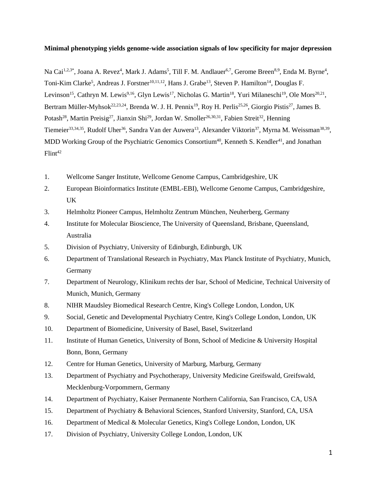## **Minimal phenotyping yields genome-wide association signals of low specificity for major depression**

Na Cai<sup>1,2,3\*</sup>, Joana A. Revez<sup>4</sup>, Mark J. Adams<sup>5</sup>, Till F. M. Andlauer<sup>6,7</sup>, Gerome Breen<sup>8,9</sup>, Enda M. Byrne<sup>4</sup>, Toni-Kim Clarke<sup>5</sup>, Andreas J. Forstner<sup>10,11,12</sup>, Hans J. Grabe<sup>13</sup>, Steven P. Hamilton<sup>14</sup>, Douglas F. Levinson<sup>15</sup>, Cathryn M. Lewis<sup>9,16</sup>, Glyn Lewis<sup>17</sup>, Nicholas G. Martin<sup>18</sup>, Yuri Milaneschi<sup>19</sup>, Ole Mors<sup>20,21</sup>, Bertram Müller-Myhsok<sup>22,23,24</sup>, Brenda W. J. H. Pennix<sup>19</sup>, Roy H. Perlis<sup>25,26</sup>, Giorgio Pistis<sup>27</sup>, James B. Potash<sup>28</sup>, Martin Preisig<sup>27</sup>, Jianxin Shi<sup>29</sup>, Jordan W. Smoller<sup>26,30,31</sup>, Fabien Streit<sup>32</sup>, Henning Tiemeier<sup>33,34,35</sup>, Rudolf Uher<sup>36</sup>, Sandra Van der Auwera<sup>13</sup>, Alexander Viktorin<sup>37</sup>, Myrna M. Weissman<sup>38,39</sup>, MDD Working Group of the Psychiatric Genomics Consortium<sup>40</sup>, Kenneth S. Kendler<sup>41</sup>, and Jonathan  $F$ lint<sup>42</sup>

- 1. Wellcome Sanger Institute, Wellcome Genome Campus, Cambridgeshire, UK
- 2. European Bioinformatics Institute (EMBL-EBI), Wellcome Genome Campus, Cambridgeshire, UK
- 3. Helmholtz Pioneer Campus, Helmholtz Zentrum München, Neuherberg, Germany
- 4. Institute for Molecular Bioscience, The University of Queensland, Brisbane, Queensland, Australia
- 5. Division of Psychiatry, University of Edinburgh, Edinburgh, UK
- 6. Department of Translational Research in Psychiatry, Max Planck Institute of Psychiatry, Munich, Germany
- 7. Department of Neurology, Klinikum rechts der Isar, School of Medicine, Technical University of Munich, Munich, Germany
- 8. NIHR Maudsley Biomedical Research Centre, King's College London, London, UK
- 9. Social, Genetic and Developmental Psychiatry Centre, King's College London, London, UK
- 10. Department of Biomedicine, University of Basel, Basel, Switzerland
- 11. Institute of Human Genetics, University of Bonn, School of Medicine & University Hospital Bonn, Bonn, Germany
- 12. Centre for Human Genetics, University of Marburg, Marburg, Germany
- 13. Department of Psychiatry and Psychotherapy, University Medicine Greifswald, Greifswald, Mecklenburg-Vorpommern, Germany
- 14. Department of Psychiatry, Kaiser Permanente Northern California, San Francisco, CA, USA
- 15. Department of Psychiatry & Behavioral Sciences, Stanford University, Stanford, CA, USA
- 16. Department of Medical & Molecular Genetics, King's College London, London, UK
- 17. Division of Psychiatry, University College London, London, UK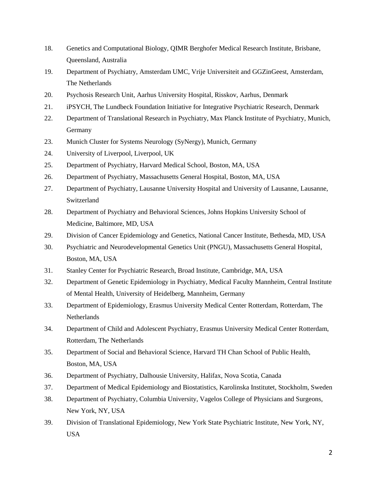- 18. Genetics and Computational Biology, QIMR Berghofer Medical Research Institute, Brisbane, Queensland, Australia
- 19. Department of Psychiatry, Amsterdam UMC, Vrije Universiteit and GGZinGeest, Amsterdam, The Netherlands
- 20. Psychosis Research Unit, Aarhus University Hospital, Risskov, Aarhus, Denmark
- 21. iPSYCH, The Lundbeck Foundation Initiative for Integrative Psychiatric Research, Denmark
- 22. Department of Translational Research in Psychiatry, Max Planck Institute of Psychiatry, Munich, Germany
- 23. Munich Cluster for Systems Neurology (SyNergy), Munich, Germany
- 24. University of Liverpool, Liverpool, UK
- 25. Department of Psychiatry, Harvard Medical School, Boston, MA, USA
- 26. Department of Psychiatry, Massachusetts General Hospital, Boston, MA, USA
- 27. Department of Psychiatry, Lausanne University Hospital and University of Lausanne, Lausanne, Switzerland
- 28. Department of Psychiatry and Behavioral Sciences, Johns Hopkins University School of Medicine, Baltimore, MD, USA
- 29. Division of Cancer Epidemiology and Genetics, National Cancer Institute, Bethesda, MD, USA
- 30. Psychiatric and Neurodevelopmental Genetics Unit (PNGU), Massachusetts General Hospital, Boston, MA, USA
- 31. Stanley Center for Psychiatric Research, Broad Institute, Cambridge, MA, USA
- 32. Department of Genetic Epidemiology in Psychiatry, Medical Faculty Mannheim, Central Institute of Mental Health, University of Heidelberg, Mannheim, Germany
- 33. Department of Epidemiology, Erasmus University Medical Center Rotterdam, Rotterdam, The **Netherlands**
- 34. Department of Child and Adolescent Psychiatry, Erasmus University Medical Center Rotterdam, Rotterdam, The Netherlands
- 35. Department of Social and Behavioral Science, Harvard TH Chan School of Public Health, Boston, MA, USA
- 36. Department of Psychiatry, Dalhousie University, Halifax, Nova Scotia, Canada
- 37. Department of Medical Epidemiology and Biostatistics, Karolinska Institutet, Stockholm, Sweden
- 38. Department of Psychiatry, Columbia University, Vagelos College of Physicians and Surgeons, New York, NY, USA
- 39. Division of Translational Epidemiology, New York State Psychiatric Institute, New York, NY, USA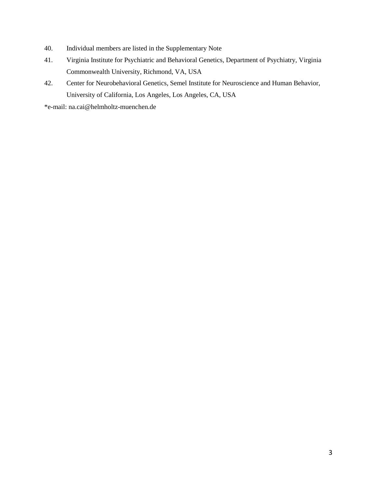- 40. Individual members are listed in the Supplementary Note
- 41. Virginia Institute for Psychiatric and Behavioral Genetics, Department of Psychiatry, Virginia Commonwealth University, Richmond, VA, USA
- 42. Center for Neurobehavioral Genetics, Semel Institute for Neuroscience and Human Behavior, University of California, Los Angeles, Los Angeles, CA, USA

\*e-mail: [na.cai@helmholtz-muenchen.de](mailto:na.cai@helmholtz-muenchen.de)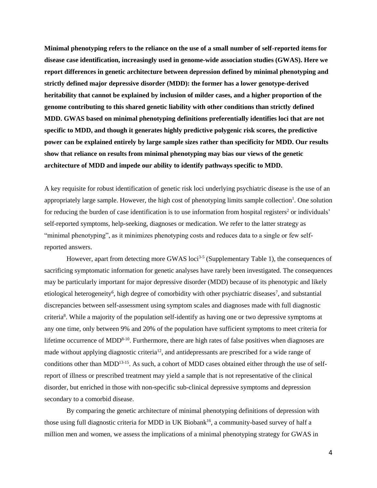**Minimal phenotyping refers to the reliance on the use of a small number of self-reported items for disease case identification, increasingly used in genome-wide association studies (GWAS). Here we report differences in genetic architecture between depression defined by minimal phenotyping and strictly defined major depressive disorder (MDD): the former has a lower genotype-derived heritability that cannot be explained by inclusion of milder cases, and a higher proportion of the genome contributing to this shared genetic liability with other conditions than strictly defined MDD. GWAS based on minimal phenotyping definitions preferentially identifies loci that are not specific to MDD, and though it generates highly predictive polygenic risk scores, the predictive power can be explained entirely by large sample sizes rather than specificity for MDD. Our results show that reliance on results from minimal phenotyping may bias our views of the genetic architecture of MDD and impede our ability to identify pathways specific to MDD.**

A key requisite for robust identification of genetic risk loci underlying psychiatric disease is the use of an appropriately large sample. However, the high cost of phenotyping limits sample collection<sup>1</sup>. One solution for reducing the burden of case identification is to use information from hospital registers<sup>2</sup> or individuals' self-reported symptoms, help-seeking, diagnoses or medication. We refer to the latter strategy as "minimal phenotyping", as it minimizes phenotyping costs and reduces data to a single or few selfreported answers.

However, apart from detecting more GWAS loci<sup>3-5</sup> (Supplementary Table 1), the consequences of sacrificing symptomatic information for genetic analyses have rarely been investigated. The consequences may be particularly important for major depressive disorder (MDD) because of its phenotypic and likely etiological heterogeneity<sup>6</sup>, high degree of comorbidity with other psychiatric diseases<sup>7</sup>, and substantial discrepancies between self-assessment using symptom scales and diagnoses made with full diagnostic criteria<sup>8</sup>. While a majority of the population self-identify as having one or two depressive symptoms at any one time, only between 9% and 20% of the population have sufficient symptoms to meet criteria for lifetime occurrence of MDD $8-10$ . Furthermore, there are high rates of false positives when diagnoses are made without applying diagnostic criteria<sup>12</sup>, and antidepressants are prescribed for a wide range of conditions other than MDD<sup>13-15</sup>. As such, a cohort of MDD cases obtained either through the use of selfreport of illness or prescribed treatment may yield a sample that is not representative of the clinical disorder, but enriched in those with non-specific sub-clinical depressive symptoms and depression secondary to a comorbid disease.

By comparing the genetic architecture of minimal phenotyping definitions of depression with those using full diagnostic criteria for MDD in UK Biobank<sup>16</sup>, a community-based survey of half a million men and women, we assess the implications of a minimal phenotyping strategy for GWAS in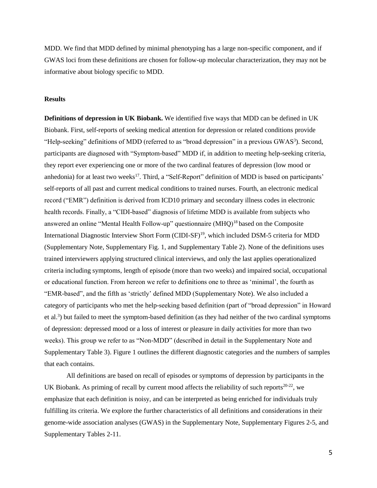MDD. We find that MDD defined by minimal phenotyping has a large non-specific component, and if GWAS loci from these definitions are chosen for follow-up molecular characterization, they may not be informative about biology specific to MDD.

# **Results**

**Definitions of depression in UK Biobank.** We identified five ways that MDD can be defined in UK Biobank. First, self-reports of seeking medical attention for depression or related conditions provide "Help-seeking" definitions of MDD (referred to as "broad depression" in a previous GWAS<sup>3</sup>). Second, participants are diagnosed with "Symptom-based" MDD if, in addition to meeting help-seeking criteria, they report ever experiencing one or more of the two cardinal features of depression (low mood or anhedonia) for at least two weeks<sup>17</sup>. Third, a "Self-Report" definition of MDD is based on participants' self-reports of all past and current medical conditions to trained nurses. Fourth, an electronic medical record ("EMR") definition is derived from ICD10 primary and secondary illness codes in electronic health records. Finally, a "CIDI-based" diagnosis of lifetime MDD is available from subjects who answered an online "Mental Health Follow-up" questionnaire (MHQ)<sup>18</sup> based on the Composite International Diagnostic Interview Short Form (CIDI-SF)<sup>19</sup>, which included DSM-5 criteria for MDD (Supplementary Note, Supplementary Fig. 1, and Supplementary Table 2). None of the definitions uses trained interviewers applying structured clinical interviews, and only the last applies operationalized criteria including symptoms, length of episode (more than two weeks) and impaired social, occupational or educational function. From hereon we refer to definitions one to three as 'minimal', the fourth as "EMR-based", and the fifth as 'strictly' defined MDD (Supplementary Note). We also included a category of participants who met the help-seeking based definition (part of "broad depression" in Howard et al.<sup>3</sup>) but failed to meet the symptom-based definition (as they had neither of the two cardinal symptoms of depression: depressed mood or a loss of interest or pleasure in daily activities for more than two weeks). This group we refer to as "Non-MDD" (described in detail in the Supplementary Note and Supplementary Table 3). Figure 1 outlines the different diagnostic categories and the numbers of samples that each contains.

All definitions are based on recall of episodes or symptoms of depression by participants in the UK Biobank. As priming of recall by current mood affects the reliability of such reports<sup>20-22</sup>, we emphasize that each definition is noisy, and can be interpreted as being enriched for individuals truly fulfilling its criteria. We explore the further characteristics of all definitions and considerations in their genome-wide association analyses (GWAS) in the Supplementary Note, Supplementary Figures 2-5, and Supplementary Tables 2-11.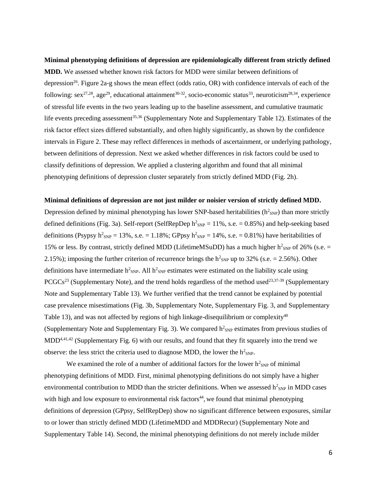**Minimal phenotyping definitions of depression are epidemiologically different from strictly defined MDD.** We assessed whether known risk factors for MDD were similar between definitions of depression<sup>26</sup>. Figure 2a-g shows the mean effect (odds ratio, OR) with confidence intervals of each of the following:  $sex^{27,28}$ , age<sup>29</sup>, educational attainment<sup>30-32</sup>, socio-economic status<sup>33</sup>, neuroticism<sup>28,34</sup>, experience of stressful life events in the two years leading up to the baseline assessment, and cumulative traumatic life events preceding assessment<sup>35,36</sup> (Supplementary Note and Supplementary Table 12). Estimates of the risk factor effect sizes differed substantially, and often highly significantly, as shown by the confidence intervals in Figure 2. These may reflect differences in methods of ascertainment, or underlying pathology, between definitions of depression. Next we asked whether differences in risk factors could be used to classify definitions of depression. We applied a clustering algorithm and found that all minimal phenotyping definitions of depression cluster separately from strictly defined MDD (Fig. 2h).

#### **Minimal definitions of depression are not just milder or noisier version of strictly defined MDD.**

Depression defined by minimal phenotyping has lower SNP-based heritabilities  $(h^2_{SNP})$  than more strictly defined definitions (Fig. 3a). Self-report (SelfRepDep  $h^2_{SNP} = 11\%$ , s.e. = 0.85%) and help-seeking based definitions (Psypsy  $h^2_{SNP} = 13\%$ , s.e. = 1.18%; GPpsy  $h^2_{SNP} = 14\%$ , s.e. = 0.81%) have heritabilities of 15% or less. By contrast, strictly defined MDD (LifetimeMSuDD) has a much higher  $h^2_{SNP}$  of 26% (s.e. = 2.15%); imposing the further criterion of recurrence brings the  $h^2_{SNP}$  up to 32% (s.e. = 2.56%). Other definitions have intermediate  $h^2_{SNP}$ . All  $h^2_{SNP}$  estimates were estimated on the liability scale using PCGCs<sup>23</sup> (Supplementary Note), and the trend holds regardless of the method used<sup>23,37-39</sup> (Supplementary Note and Supplementary Table 13). We further verified that the trend cannot be explained by potential case prevalence misestimations (Fig. 3b, Supplementary Note, Supplementary Fig. 3, and Supplementary Table 13), and was not affected by regions of high linkage-disequilibrium or complexity<sup>40</sup> (Supplementary Note and Supplementary Fig. 3). We compared  $h^2_{SNP}$  estimates from previous studies of MDD<sup>4,41,42</sup> (Supplementary Fig. 6) with our results, and found that they fit squarely into the trend we observe: the less strict the criteria used to diagnose MDD, the lower the  $h^2_{SNP}$ .

We examined the role of a number of additional factors for the lower  $h^2_{SNP}$  of minimal phenotyping definitions of MDD. First, minimal phenotyping definitions do not simply have a higher environmental contribution to MDD than the stricter definitions. When we assessed  $h^2_{SNP}$  in MDD cases with high and low exposure to environmental risk factors<sup>44</sup>, we found that minimal phenotyping definitions of depression (GPpsy, SelfRepDep) show no significant difference between exposures, similar to or lower than strictly defined MDD (LifetimeMDD and MDDRecur) (Supplementary Note and Supplementary Table 14). Second, the minimal phenotyping definitions do not merely include milder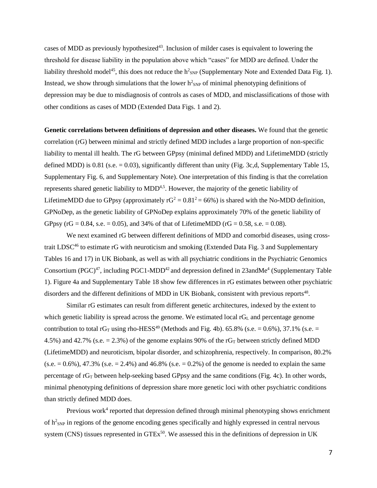cases of MDD as previously hypothesized<sup>43</sup>. Inclusion of milder cases is equivalent to lowering the threshold for disease liability in the population above which "cases" for MDD are defined. Under the liability threshold model<sup>45</sup>, this does not reduce the  $h^2_{SNP}$  (Supplementary Note and Extended Data Fig. 1). Instead, we show through simulations that the lower  $h^2_{SNP}$  of minimal phenotyping definitions of depression may be due to misdiagnosis of controls as cases of MDD, and misclassifications of those with other conditions as cases of MDD (Extended Data Figs. 1 and 2).

**Genetic correlations between definitions of depression and other diseases.** We found that the genetic correlation (rG) between minimal and strictly defined MDD includes a large proportion of non-specific liability to mental ill health. The rG between GPpsy (minimal defined MDD) and LifetimeMDD (strictly defined MDD) is  $0.81$  (s.e. = 0.03), significantly different than unity (Fig. 3c,d, Supplementary Table 15, Supplementary Fig. 6, and Supplementary Note). One interpretation of this finding is that the correlation represents shared genetic liability to MDD<sup>4,5</sup>. However, the majority of the genetic liability of LifetimeMDD due to GPpsy (approximately  $rG^2 = 0.81^2 = 66\%$ ) is shared with the No-MDD definition, GPNoDep, as the genetic liability of GPNoDep explains approximately 70% of the genetic liability of GPpsy (rG = 0.84, s.e. = 0.05), and 34% of that of LifetimeMDD (rG = 0.58, s.e. = 0.08).

We next examined rG between different definitions of MDD and comorbid diseases, using crosstrait LDSC<sup>46</sup> to estimate rG with neuroticism and smoking (Extended Data Fig. 3 and Supplementary Tables 16 and 17) in UK Biobank, as well as with all psychiatric conditions in the Psychiatric Genomics Consortium (PGC)<sup>47</sup>, including PGC1-MDD<sup>42</sup> and depression defined in 23andMe<sup>4</sup> (Supplementary Table 1). Figure 4a and Supplementary Table 18 show few differences in rG estimates between other psychiatric disorders and the different definitions of MDD in UK Biobank, consistent with previous reports<sup>48</sup>.

Similar rG estimates can result from different genetic architectures, indexed by the extent to which genetic liability is spread across the genome. We estimated local  $rG<sub>L</sub>$  and percentage genome contribution to total  $rG_T$  using rho-HESS<sup>49</sup> (Methods and Fig. 4b). 65.8% (s.e. = 0.6%), 37.1% (s.e. = 4.5%) and 42.7% (s.e.  $= 2.3$ %) of the genome explains 90% of the rG<sub>T</sub> between strictly defined MDD (LifetimeMDD) and neuroticism, bipolar disorder, and schizophrenia, respectively. In comparison, 80.2%  $(s.e. = 0.6\%)$ , 47.3%  $(s.e. = 2.4\%)$  and 46.8%  $(s.e. = 0.2\%)$  of the genome is needed to explain the same percentage of  $rG_T$  between help-seeking based GPpsy and the same conditions (Fig. 4c). In other words, minimal phenotyping definitions of depression share more genetic loci with other psychiatric conditions than strictly defined MDD does.

Previous work<sup>4</sup> reported that depression defined through minimal phenotyping shows enrichment of  $h^2_{SNP}$  in regions of the genome encoding genes specifically and highly expressed in central nervous system (CNS) tissues represented in GTEx<sup>50</sup>. We assessed this in the definitions of depression in UK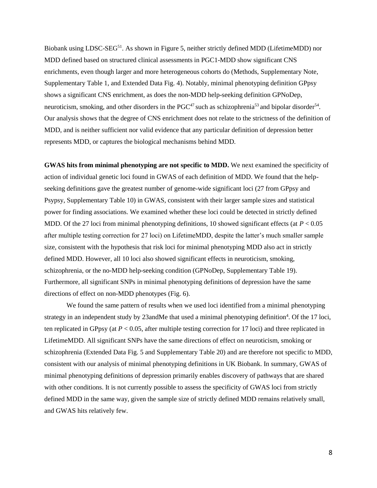Biobank using LDSC-SEG<sup>51</sup>. As shown in Figure 5, neither strictly defined MDD (LifetimeMDD) nor MDD defined based on structured clinical assessments in PGC1-MDD show significant CNS enrichments, even though larger and more heterogeneous cohorts do (Methods, Supplementary Note, Supplementary Table 1, and Extended Data Fig. 4). Notably, minimal phenotyping definition GPpsy shows a significant CNS enrichment, as does the non-MDD help-seeking definition GPNoDep, neuroticism, smoking, and other disorders in the  $PGC^{47}$  such as schizophrenia<sup>53</sup> and bipolar disorder<sup>54</sup>. Our analysis shows that the degree of CNS enrichment does not relate to the strictness of the definition of MDD, and is neither sufficient nor valid evidence that any particular definition of depression better represents MDD, or captures the biological mechanisms behind MDD.

**GWAS hits from minimal phenotyping are not specific to MDD.** We next examined the specificity of action of individual genetic loci found in GWAS of each definition of MDD. We found that the helpseeking definitions gave the greatest number of genome-wide significant loci (27 from GPpsy and Psypsy, Supplementary Table 10) in GWAS, consistent with their larger sample sizes and statistical power for finding associations. We examined whether these loci could be detected in strictly defined MDD. Of the 27 loci from minimal phenotyping definitions, 10 showed significant effects (at *P* < 0.05 after multiple testing correction for 27 loci) on LifetimeMDD, despite the latter's much smaller sample size, consistent with the hypothesis that risk loci for minimal phenotyping MDD also act in strictly defined MDD. However, all 10 loci also showed significant effects in neuroticism, smoking, schizophrenia, or the no-MDD help-seeking condition (GPNoDep, Supplementary Table 19). Furthermore, all significant SNPs in minimal phenotyping definitions of depression have the same directions of effect on non-MDD phenotypes (Fig. 6).

We found the same pattern of results when we used loci identified from a minimal phenotyping strategy in an independent study by  $23$  and Me that used a minimal phenotyping definition<sup>4</sup>. Of the 17 loci, ten replicated in GPpsy (at  $P < 0.05$ , after multiple testing correction for 17 loci) and three replicated in LifetimeMDD. All significant SNPs have the same directions of effect on neuroticism, smoking or schizophrenia (Extended Data Fig. 5 and Supplementary Table 20) and are therefore not specific to MDD, consistent with our analysis of minimal phenotyping definitions in UK Biobank. In summary, GWAS of minimal phenotyping definitions of depression primarily enables discovery of pathways that are shared with other conditions. It is not currently possible to assess the specificity of GWAS loci from strictly defined MDD in the same way, given the sample size of strictly defined MDD remains relatively small, and GWAS hits relatively few.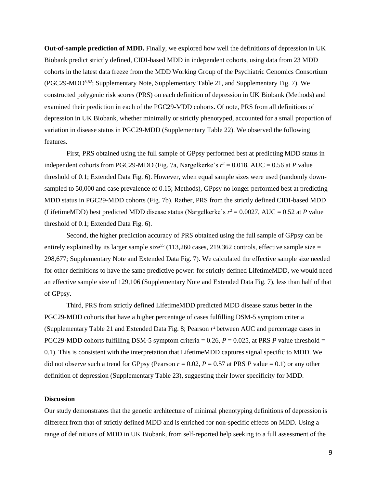**Out-of-sample prediction of MDD.** Finally, we explored how well the definitions of depression in UK Biobank predict strictly defined, CIDI-based MDD in independent cohorts, using data from 23 MDD cohorts in the latest data freeze from the MDD Working Group of the Psychiatric Genomics Consortium (PGC29-MDD5,52; Supplementary Note, Supplementary Table 21, and Supplementary Fig. 7). We constructed polygenic risk scores (PRS) on each definition of depression in UK Biobank (Methods) and examined their prediction in each of the PGC29-MDD cohorts. Of note, PRS from all definitions of depression in UK Biobank, whether minimally or strictly phenotyped, accounted for a small proportion of variation in disease status in PGC29-MDD (Supplementary Table 22). We observed the following features.

First, PRS obtained using the full sample of GPpsy performed best at predicting MDD status in independent cohorts from PGC29-MDD (Fig. 7a, Nargelkerke's  $r^2 = 0.018$ , AUC = 0.56 at *P* value threshold of 0.1; Extended Data Fig. 6). However, when equal sample sizes were used (randomly downsampled to 50,000 and case prevalence of 0.15; Methods), GPpsy no longer performed best at predicting MDD status in PGC29-MDD cohorts (Fig. 7b). Rather, PRS from the strictly defined CIDI-based MDD (LifetimeMDD) best predicted MDD disease status (Nargelkerke's  $r^2 = 0.0027$ , AUC = 0.52 at *P* value threshold of 0.1; Extended Data Fig. 6).

Second, the higher prediction accuracy of PRS obtained using the full sample of GPpsy can be entirely explained by its larger sample size<sup>55</sup> (113,260 cases, 219,362 controls, effective sample size = 298,677; Supplementary Note and Extended Data Fig. 7). We calculated the effective sample size needed for other definitions to have the same predictive power: for strictly defined LifetimeMDD, we would need an effective sample size of 129,106 (Supplementary Note and Extended Data Fig. 7), less than half of that of GPpsy.

Third, PRS from strictly defined LifetimeMDD predicted MDD disease status better in the PGC29-MDD cohorts that have a higher percentage of cases fulfilling DSM-5 symptom criteria (Supplementary Table 21 and Extended Data Fig. 8; Pearson *r* <sup>2</sup>between AUC and percentage cases in PGC29-MDD cohorts fulfilling DSM-5 symptom criteria =  $0.26$ ,  $P = 0.025$ , at PRS *P* value threshold = 0.1). This is consistent with the interpretation that LifetimeMDD captures signal specific to MDD. We did not observe such a trend for GPpsy (Pearson  $r = 0.02$ ,  $P = 0.57$  at PRS P value = 0.1) or any other definition of depression (Supplementary Table 23), suggesting their lower specificity for MDD.

### **Discussion**

Our study demonstrates that the genetic architecture of minimal phenotyping definitions of depression is different from that of strictly defined MDD and is enriched for non-specific effects on MDD. Using a range of definitions of MDD in UK Biobank, from self-reported help seeking to a full assessment of the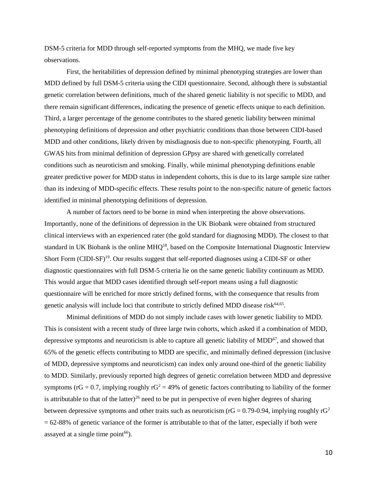DSM-5 criteria for MDD through self-reported symptoms from the MHQ, we made five key observations.

First, the heritabilities of depression defined by minimal phenotyping strategies are lower than MDD defined by full DSM-5 criteria using the CIDI questionnaire. Second, although there is substantial genetic correlation between definitions, much of the shared genetic liability is not specific to MDD, and there remain significant differences, indicating the presence of genetic effects unique to each definition. Third, a larger percentage of the genome contributes to the shared genetic liability between minimal phenotyping definitions of depression and other psychiatric conditions than those between CIDI-based MDD and other conditions, likely driven by misdiagnosis due to non-specific phenotyping. Fourth, all GWAS hits from minimal definition of depression GPpsy are shared with genetically correlated conditions such as neuroticism and smoking. Finally, while minimal phenotyping definitions enable greater predictive power for MDD status in independent cohorts, this is due to its large sample size rather than its indexing of MDD-specific effects. These results point to the non-specific nature of genetic factors identified in minimal phenotyping definitions of depression.

A number of factors need to be borne in mind when interpreting the above observations. Importantly, none of the definitions of depression in the UK Biobank were obtained from structured clinical interviews with an experienced rater (the gold standard for diagnosing MDD). The closest to that standard in UK Biobank is the online MHQ<sup>18</sup>, based on the Composite International Diagnostic Interview Short Form (CIDI-SF)<sup>19</sup>. Our results suggest that self-reported diagnoses using a CIDI-SF or other diagnostic questionnaires with full DSM-5 criteria lie on the same genetic liability continuum as MDD. This would argue that MDD cases identified through self-report means using a full diagnostic questionnaire will be enriched for more strictly defined forms, with the consequence that results from genetic analysis will include loci that contribute to strictly defined MDD disease risk $64,65$ .

Minimal definitions of MDD do not simply include cases with lower genetic liability to MDD. This is consistent with a recent study of three large twin cohorts, which asked if a combination of MDD, depressive symptoms and neuroticism is able to capture all genetic liability of  $MDD<sup>67</sup>$ , and showed that 65% of the genetic effects contributing to MDD are specific, and minimally defined depression (inclusive of MDD, depressive symptoms and neuroticism) can index only around one-third of the genetic liability to MDD. Similarly, previously reported high degrees of genetic correlation between MDD and depressive symptoms ( $rG = 0.7$ , implying roughly  $rG^2 = 49\%$  of genetic factors contributing to liability of the former is attributable to that of the latter)<sup>26</sup> need to be put in perspective of even higher degrees of sharing between depressive symptoms and other traits such as neuroticism ( $rG = 0.79$ -0.94, implying roughly  $rG<sup>2</sup>$  $= 62-88%$  of genetic variance of the former is attributable to that of the latter, especially if both were assayed at a single time point $^{66}$ ).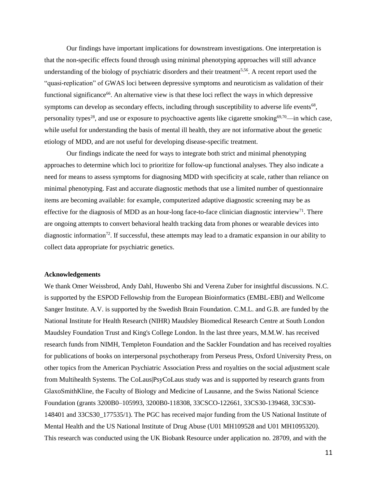Our findings have important implications for downstream investigations. One interpretation is that the non-specific effects found through using minimal phenotyping approaches will still advance understanding of the biology of psychiatric disorders and their treatment<sup>5,56</sup>. A recent report used the "quasi-replication" of GWAS loci between depressive symptoms and neuroticism as validation of their functional significance<sup>66</sup>. An alternative view is that these loci reflect the ways in which depressive symptoms can develop as secondary effects, including through susceptibility to adverse life events<sup>68</sup>, personality types<sup>28</sup>, and use or exposure to psychoactive agents like cigarette smoking<sup>69,70</sup>—in which case, while useful for understanding the basis of mental ill health, they are not informative about the genetic etiology of MDD, and are not useful for developing disease-specific treatment.

Our findings indicate the need for ways to integrate both strict and minimal phenotyping approaches to determine which loci to prioritize for follow-up functional analyses. They also indicate a need for means to assess symptoms for diagnosing MDD with specificity at scale, rather than reliance on minimal phenotyping. Fast and accurate diagnostic methods that use a limited number of questionnaire items are becoming available: for example, computerized adaptive diagnostic screening may be as effective for the diagnosis of MDD as an hour-long face-to-face clinician diagnostic interview<sup>71</sup>. There are ongoing attempts to convert behavioral health tracking data from phones or wearable devices into diagnostic information<sup>72</sup>. If successful, these attempts may lead to a dramatic expansion in our ability to collect data appropriate for psychiatric genetics.

## **Acknowledgements**

We thank Omer Weissbrod, Andy Dahl, Huwenbo Shi and Verena Zuber for insightful discussions. N.C. is supported by the ESPOD Fellowship from the European Bioinformatics (EMBL-EBI) and Wellcome Sanger Institute. A.V. is supported by the Swedish Brain Foundation. C.M.L. and G.B. are funded by the National Institute for Health Research (NIHR) Maudsley Biomedical Research Centre at South London Maudsley Foundation Trust and King's College London. In the last three years, M.M.W. has received research funds from NIMH, Templeton Foundation and the Sackler Foundation and has received royalties for publications of books on interpersonal psychotherapy from Perseus Press, Oxford University Press, on other topics from the American Psychiatric Association Press and royalties on the social adjustment scale from Multihealth Systems. The CoLaus|PsyCoLaus study was and is supported by research grants from GlaxoSmithKline, the Faculty of Biology and Medicine of Lausanne, and the Swiss National Science Foundation (grants 3200B0–105993, 3200B0-118308, 33CSCO-122661, 33CS30-139468, 33CS30- 148401 and 33CS30\_177535/1). The PGC has received major funding from the US National Institute of Mental Health and the US National Institute of Drug Abuse (U01 MH109528 and U01 MH1095320). This research was conducted using the UK Biobank Resource under application no. 28709, and with the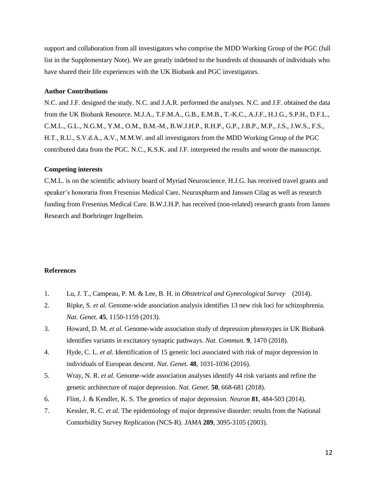support and collaboration from all investigators who comprise the MDD Working Group of the PGC (full list in the Supplementary Note). We are greatly indebted to the hundreds of thousands of individuals who have shared their life experiences with the UK Biobank and PGC investigators.

## **Author Contributions**

N.C. and J.F. designed the study. N.C. and J.A.R. performed the analyses. N.C. and J.F. obtained the data from the UK Biobank Resource. M.J.A., T.F.M.A., G.B., E.M.B., T.-K.C., A.J.F., H.J.G., S.P.H., D.F.L., C.M.L., G.L., N.G.M., Y.M., O.M., B.M.-M., B.W.J.H.P., R.H.P., G.P., J.B.P., M.P., J.S., J.W.S., F.S., H.T., R.U., S.V.d.A., A.V., M.M.W. and all investigators from the MDD Working Group of the PGC contributed data from the PGC. N.C., K.S.K. and J.F. interpreted the results and wrote the manuscript.

### **Competing interests**

C.M.L. is on the scientific advisory board of Myriad Neuroscience. H.J.G. has received travel grants and speaker's honoraria from Fresenius Medical Care, Neuraxpharm and Janssen Cilag as well as research funding from Fresenius Medical Care. B.W.J.H.P. has received (non-related) research grants from Jansen Research and Boehringer Ingelheim.

### **References**

- 1. Lu, J. T., Campeau, P. M. & Lee, B. H. in *Obstetrical and Gynecological Survey* (2014).
- 2. Ripke, S. *et al.* Genome-wide association analysis identifies 13 new risk loci for schizophrenia. *Nat. Genet.* **45**, 1150-1159 (2013).
- 3. Howard, D. M. *et al.* Genome-wide association study of depression phenotypes in UK Biobank identifies variants in excitatory synaptic pathways. *Nat. Commun.* **9**, 1470 (2018).
- 4. Hyde, C. L. *et al.* Identification of 15 genetic loci associated with risk of major depression in individuals of European descent. *Nat. Genet.* **48**, 1031-1036 (2016).
- 5. Wray, N. R. *et al.* Genome-wide association analyses identify 44 risk variants and refine the genetic architecture of major depression. *Nat. Genet.* **50**, 668-681 (2018).
- 6. Flint, J. & Kendler, K. S. The genetics of major depression. *Neuron* **81**, 484-503 (2014).
- 7. Kessler, R. C. *et al.* The epidemiology of major depressive disorder: results from the National Comorbidity Survey Replication (NCS-R). *JAMA* **289**, 3095-3105 (2003).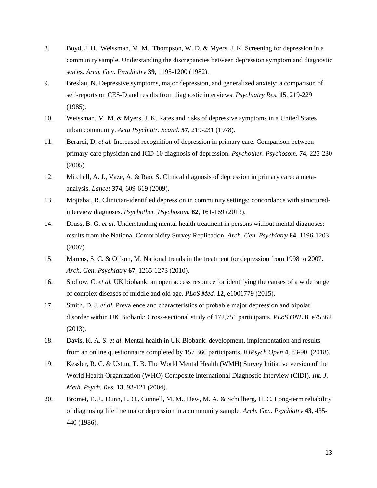- 8. Boyd, J. H., Weissman, M. M., Thompson, W. D. & Myers, J. K. Screening for depression in a community sample. Understanding the discrepancies between depression symptom and diagnostic scales. *Arch. Gen. Psychiatry* **39**, 1195-1200 (1982).
- 9. Breslau, N. Depressive symptoms, major depression, and generalized anxiety: a comparison of self-reports on CES-D and results from diagnostic interviews. *Psychiatry Res.* **15**, 219-229 (1985).
- 10. Weissman, M. M. & Myers, J. K. Rates and risks of depressive symptoms in a United States urban community. *Acta Psychiatr. Scand.* **57**, 219-231 (1978).
- 11. Berardi, D. *et al.* Increased recognition of depression in primary care. Comparison between primary-care physician and ICD-10 diagnosis of depression. *Psychother. Psychosom.* **74**, 225-230 (2005).
- 12. Mitchell, A. J., Vaze, A. & Rao, S. Clinical diagnosis of depression in primary care: a metaanalysis. *Lancet* **374**, 609-619 (2009).
- 13. Mojtabai, R. Clinician-identified depression in community settings: concordance with structuredinterview diagnoses. *Psychother. Psychosom.* **82**, 161-169 (2013).
- 14. Druss, B. G. *et al.* Understanding mental health treatment in persons without mental diagnoses: results from the National Comorbidity Survey Replication. *Arch. Gen. Psychiatry* **64**, 1196-1203 (2007).
- 15. Marcus, S. C. & Olfson, M. National trends in the treatment for depression from 1998 to 2007. *Arch. Gen. Psychiatry* **67**, 1265-1273 (2010).
- 16. Sudlow, C. *et al.* UK biobank: an open access resource for identifying the causes of a wide range of complex diseases of middle and old age. *PLoS Med.* **12**, e1001779 (2015).
- 17. Smith, D. J. *et al.* Prevalence and characteristics of probable major depression and bipolar disorder within UK Biobank: Cross-sectional study of 172,751 participants. *PLoS ONE* **8**, e75362 (2013).
- 18. Davis, K. A. S. *et al.* Mental health in UK Biobank: development, implementation and results from an online questionnaire completed by 157 366 participants. *BJPsych Open* **4**, 83-90 (2018).
- 19. Kessler, R. C. & Ustun, T. B. The World Mental Health (WMH) Survey Initiative version of the World Health Organization (WHO) Composite International Diagnostic Interview (CIDI). *Int. J. Meth. Psych. Res.* **13**, 93-121 (2004).
- 20. Bromet, E. J., Dunn, L. O., Connell, M. M., Dew, M. A. & Schulberg, H. C. Long-term reliability of diagnosing lifetime major depression in a community sample. *Arch. Gen. Psychiatry* **43**, 435- 440 (1986).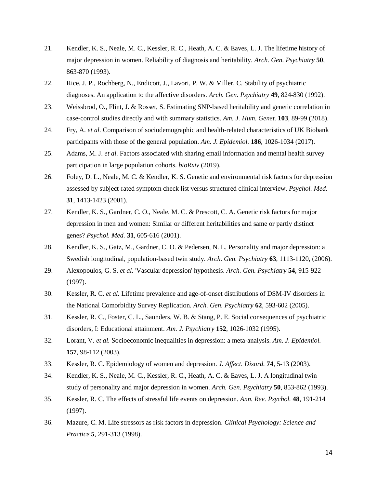- 21. Kendler, K. S., Neale, M. C., Kessler, R. C., Heath, A. C. & Eaves, L. J. The lifetime history of major depression in women. Reliability of diagnosis and heritability. *Arch. Gen. Psychiatry* **50**, 863-870 (1993).
- 22. Rice, J. P., Rochberg, N., Endicott, J., Lavori, P. W. & Miller, C. Stability of psychiatric diagnoses. An application to the affective disorders. *Arch. Gen. Psychiatry* **49**, 824-830 (1992).
- 23. Weissbrod, O., Flint, J. & Rosset, S. Estimating SNP-based heritability and genetic correlation in case-control studies directly and with summary statistics. *Am. J. Hum. Genet.* **103**, 89-99 (2018).
- 24. Fry, A. *et al.* Comparison of sociodemographic and health-related characteristics of UK Biobank participants with those of the general population. *Am. J. Epidemiol.* **186**, 1026-1034 (2017).
- 25. Adams, M. J. *et al.* Factors associated with sharing email information and mental health survey participation in large population cohorts. *bioRxiv* (2019).
- 26. Foley, D. L., Neale, M. C. & Kendler, K. S. Genetic and environmental risk factors for depression assessed by subject-rated symptom check list versus structured clinical interview. *Psychol. Med.* **31**, 1413-1423 (2001).
- 27. Kendler, K. S., Gardner, C. O., Neale, M. C. & Prescott, C. A. Genetic risk factors for major depression in men and women: Similar or different heritabilities and same or partly distinct genes? *Psychol. Med.* **31**, 605-616 (2001).
- 28. Kendler, K. S., Gatz, M., Gardner, C. O. & Pedersen, N. L. Personality and major depression: a Swedish longitudinal, population-based twin study. *Arch. Gen. Psychiatry* **63**, 1113-1120, (2006).
- 29. Alexopoulos, G. S. *et al.* 'Vascular depression' hypothesis. *Arch. Gen. Psychiatry* **54**, 915-922 (1997).
- 30. Kessler, R. C. *et al.* Lifetime prevalence and age-of-onset distributions of DSM-IV disorders in the National Comorbidity Survey Replication. *Arch. Gen. Psychiatry* **62**, 593-602 (2005).
- 31. Kessler, R. C., Foster, C. L., Saunders, W. B. & Stang, P. E. Social consequences of psychiatric disorders, I: Educational attainment. *Am. J. Psychiatry* **152**, 1026-1032 (1995).
- 32. Lorant, V. *et al.* Socioeconomic inequalities in depression: a meta-analysis. *Am. J. Epidemiol.* **157**, 98-112 (2003).
- 33. Kessler, R. C. Epidemiology of women and depression. *J. Affect. Disord.* **74**, 5-13 (2003).
- 34. Kendler, K. S., Neale, M. C., Kessler, R. C., Heath, A. C. & Eaves, L. J. A longitudinal twin study of personality and major depression in women. *Arch. Gen. Psychiatry* **50**, 853-862 (1993).
- 35. Kessler, R. C. The effects of stressful life events on depression. *Ann. Rev. Psychol.* **48**, 191-214 (1997).
- 36. Mazure, C. M. Life stressors as risk factors in depression. *Clinical Psychology: Science and Practice* **5**, 291-313 (1998).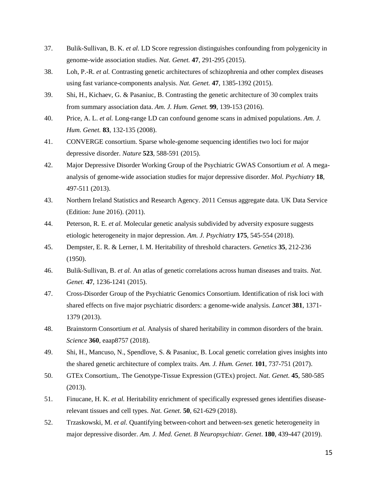- 37. Bulik-Sullivan, B. K. *et al.* LD Score regression distinguishes confounding from polygenicity in genome-wide association studies. *Nat. Genet.* **47**, 291-295 (2015).
- 38. Loh, P.-R. *et al.* Contrasting genetic architectures of schizophrenia and other complex diseases using fast variance-components analysis. *Nat. Genet.* **47**, 1385-1392 (2015).
- 39. Shi, H., Kichaev, G. & Pasaniuc, B. Contrasting the genetic architecture of 30 complex traits from summary association data. *Am. J. Hum. Genet.* **99**, 139-153 (2016).
- 40. Price, A. L. *et al.* Long-range LD can confound genome scans in admixed populations. *Am. J. Hum. Genet.* **83**, 132-135 (2008).
- 41. CONVERGE consortium. Sparse whole-genome sequencing identifies two loci for major depressive disorder. *Nature* **523**, 588-591 (2015).
- 42. Major Depressive Disorder Working Group of the Psychiatric GWAS Consortium *et al.* A megaanalysis of genome-wide association studies for major depressive disorder. *Mol. Psychiatry* **18**, 497-511 (2013).
- 43. Northern Ireland Statistics and Research Agency. 2011 Census aggregate data. UK Data Service (Edition: June 2016). (2011).
- 44. Peterson, R. E. *et al.* Molecular genetic analysis subdivided by adversity exposure suggests etiologic heterogeneity in major depression. *Am. J. Psychiatry* **175**, 545-554 (2018).
- 45. Dempster, E. R. & Lerner, I. M. Heritability of threshold characters. *Genetics* **35**, 212-236 (1950).
- 46. Bulik-Sullivan, B. *et al.* An atlas of genetic correlations across human diseases and traits. *Nat. Genet.* **47**, 1236-1241 (2015).
- 47. Cross-Disorder Group of the Psychiatric Genomics Consortium. Identification of risk loci with shared effects on five major psychiatric disorders: a genome-wide analysis. *Lancet* **381**, 1371- 1379 (2013).
- 48. Brainstorm Consortium *et al.* Analysis of shared heritability in common disorders of the brain. *Science* **360**, eaap8757 (2018).
- 49. Shi, H., Mancuso, N., Spendlove, S. & Pasaniuc, B. Local genetic correlation gives insights into the shared genetic architecture of complex traits. *Am. J. Hum. Genet.* **101**, 737-751 (2017).
- 50. GTEx Consortium,. The Genotype-Tissue Expression (GTEx) project. *Nat. Genet.* **45**, 580-585 (2013).
- 51. Finucane, H. K. *et al.* Heritability enrichment of specifically expressed genes identifies diseaserelevant tissues and cell types. *Nat. Genet.* **50**, 621-629 (2018).
- 52. Trzaskowski, M. *et al.* Quantifying between-cohort and between-sex genetic heterogeneity in major depressive disorder. *Am. J. Med. Genet. B Neuropsychiatr. Genet*. **180**, 439-447 (2019).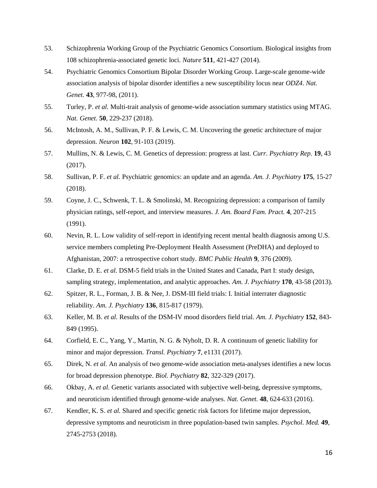- 53. Schizophrenia Working Group of the Psychiatric Genomics Consortium. Biological insights from 108 schizophrenia-associated genetic loci. *Nature* **511**, 421-427 (2014).
- 54. Psychiatric Genomics Consortium Bipolar Disorder Working Group. Large-scale genome-wide association analysis of bipolar disorder identifies a new susceptibility locus near *ODZ4*. *Nat. Genet.* **43**, 977-98, (2011).
- 55. Turley, P. *et al.* Multi-trait analysis of genome-wide association summary statistics using MTAG. *Nat. Genet.* **50**, 229-237 (2018).
- 56. McIntosh, A. M., Sullivan, P. F. & Lewis, C. M. Uncovering the genetic architecture of major depression. *Neuron* **102**, 91-103 (2019).
- 57. Mullins, N. & Lewis, C. M. Genetics of depression: progress at last. *Curr. Psychiatry Rep.* **19**, 43 (2017).
- 58. Sullivan, P. F. *et al.* Psychiatric genomics: an update and an agenda. *Am. J. Psychiatry* **175**, 15-27 (2018).
- 59. Coyne, J. C., Schwenk, T. L. & Smolinski, M. Recognizing depression: a comparison of family physician ratings, self-report, and interview measures. *J. Am. Board Fam. Pract.* **4**, 207-215 (1991).
- 60. Nevin, R. L. Low validity of self-report in identifying recent mental health diagnosis among U.S. service members completing Pre-Deployment Health Assessment (PreDHA) and deployed to Afghanistan, 2007: a retrospective cohort study. *BMC Public Health* **9**, 376 (2009).
- 61. Clarke, D. E. *et al.* DSM-5 field trials in the United States and Canada, Part I: study design, sampling strategy, implementation, and analytic approaches. *Am. J. Psychiatry* **170**, 43-58 (2013).
- 62. Spitzer, R. L., Forman, J. B. & Nee, J. DSM-III field trials: I. Initial interrater diagnostic reliability. *Am. J. Psychiatry* **136**, 815-817 (1979).
- 63. Keller, M. B. *et al.* Results of the DSM-IV mood disorders field trial. *Am. J. Psychiatry* **152**, 843- 849 (1995).
- 64. Corfield, E. C., Yang, Y., Martin, N. G. & Nyholt, D. R. A continuum of genetic liability for minor and major depression. *Transl. Psychiatry* **7**, e1131 (2017).
- 65. Direk, N. *et al.* An analysis of two genome-wide association meta-analyses identifies a new locus for broad depression phenotype. *Biol. Psychiatry* **82**, 322-329 (2017).
- 66. Okbay, A. *et al.* Genetic variants associated with subjective well-being, depressive symptoms, and neuroticism identified through genome-wide analyses. *Nat. Genet.* **48**, 624-633 (2016).
- 67. Kendler, K. S. *et al.* Shared and specific genetic risk factors for lifetime major depression, depressive symptoms and neuroticism in three population-based twin samples. *Psychol. Med.* **49**, 2745-2753 (2018).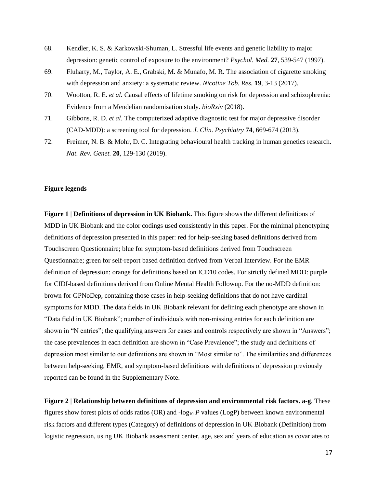- 68. Kendler, K. S. & Karkowski-Shuman, L. Stressful life events and genetic liability to major depression: genetic control of exposure to the environment? *Psychol. Med.* **27**, 539-547 (1997).
- 69. Fluharty, M., Taylor, A. E., Grabski, M. & Munafo, M. R. The association of cigarette smoking with depression and anxiety: a systematic review. *Nicotine Tob. Res.* **19**, 3-13 (2017).
- 70. Wootton, R. E. *et al.* Causal effects of lifetime smoking on risk for depression and schizophrenia: Evidence from a Mendelian randomisation study. *bioRxiv* (2018).
- 71. Gibbons, R. D. *et al.* The computerized adaptive diagnostic test for major depressive disorder (CAD-MDD): a screening tool for depression. *J. Clin. Psychiatry* **74**, 669-674 (2013).
- 72. Freimer, N. B. & Mohr, D. C. Integrating behavioural health tracking in human genetics research. *Nat. Rev. Genet.* **20**, 129-130 (2019).

## **Figure legends**

**Figure 1 | Definitions of depression in UK Biobank.** This figure shows the different definitions of MDD in UK Biobank and the color codings used consistently in this paper. For the minimal phenotyping definitions of depression presented in this paper: red for help-seeking based definitions derived from Touchscreen Questionnaire; blue for symptom-based definitions derived from Touchscreen Questionnaire; green for self-report based definition derived from Verbal Interview. For the EMR definition of depression: orange for definitions based on ICD10 codes. For strictly defined MDD: purple for CIDI-based definitions derived from Online Mental Health Followup. For the no-MDD definition: brown for GPNoDep, containing those cases in help-seeking definitions that do not have cardinal symptoms for MDD. The data fields in UK Biobank relevant for defining each phenotype are shown in "Data field in UK Biobank"; number of individuals with non-missing entries for each definition are shown in "N entries"; the qualifying answers for cases and controls respectively are shown in "Answers"; the case prevalences in each definition are shown in "Case Prevalence"; the study and definitions of depression most similar to our definitions are shown in "Most similar to". The similarities and differences between help-seeking, EMR, and symptom-based definitions with definitions of depression previously reported can be found in the Supplementary Note.

**Figure 2 | Relationship between definitions of depression and environmental risk factors. a-g**, These figures show forest plots of odds ratios (OR) and  $log_{10} P$  values (LogP) between known environmental risk factors and different types (Category) of definitions of depression in UK Biobank (Definition) from logistic regression, using UK Biobank assessment center, age, sex and years of education as covariates to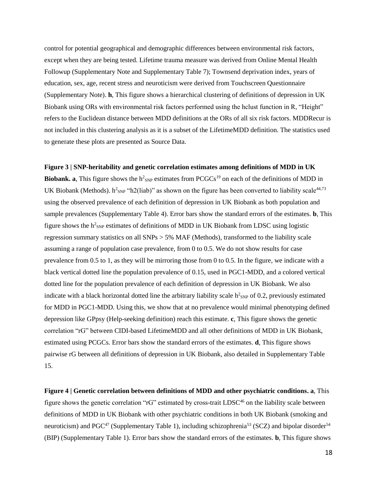control for potential geographical and demographic differences between environmental risk factors, except when they are being tested. Lifetime trauma measure was derived from Online Mental Health Followup (Supplementary Note and Supplementary Table 7); Townsend deprivation index, years of education, sex, age, recent stress and neuroticism were derived from Touchscreen Questionnaire (Supplementary Note). **h**, This figure shows a hierarchical clustering of definitions of depression in UK Biobank using ORs with environmental risk factors performed using the hclust function in R, "Height" refers to the Euclidean distance between MDD definitions at the ORs of all six risk factors. MDDRecur is not included in this clustering analysis as it is a subset of the LifetimeMDD definition. The statistics used to generate these plots are presented as Source Data.

#### **Figure 3 | SNP-heritability and genetic correlation estimates among definitions of MDD in UK**

**Biobank.** a, This figure shows the  $h^2_{SNP}$  estimates from  $PCGCs^{19}$  on each of the definitions of MDD in UK Biobank (Methods).  $h^2_{SNP}$  "h2(liab)" as shown on the figure has been converted to liability scale<sup>44,73</sup> using the observed prevalence of each definition of depression in UK Biobank as both population and sample prevalences (Supplementary Table 4). Error bars show the standard errors of the estimates. **b**, This figure shows the  $h^2$ <sub>SNP</sub> estimates of definitions of MDD in UK Biobank from LDSC using logistic regression summary statistics on all SNPs > 5% MAF (Methods), transformed to the liability scale assuming a range of population case prevalence, from 0 to 0.5. We do not show results for case prevalence from 0.5 to 1, as they will be mirroring those from 0 to 0.5. In the figure, we indicate with a black vertical dotted line the population prevalence of 0.15, used in PGC1-MDD, and a colored vertical dotted line for the population prevalence of each definition of depression in UK Biobank. We also indicate with a black horizontal dotted line the arbitrary liability scale  $h^2_{SNP}$  of 0.2, previously estimated for MDD in PGC1-MDD. Using this, we show that at no prevalence would minimal phenotyping defined depression like GPpsy (Help-seeking definition) reach this estimate. **c**, This figure shows the genetic correlation "rG" between CIDI-based LifetimeMDD and all other definitions of MDD in UK Biobank, estimated using PCGCs. Error bars show the standard errors of the estimates. **d**, This figure shows pairwise rG between all definitions of depression in UK Biobank, also detailed in Supplementary Table 15.

**Figure 4 | Genetic correlation between definitions of MDD and other psychiatric conditions. a**, This figure shows the genetic correlation "rG" estimated by cross-trait LDSC<sup>46</sup> on the liability scale between definitions of MDD in UK Biobank with other psychiatric conditions in both UK Biobank (smoking and neuroticism) and PGC<sup>47</sup> (Supplementary Table 1), including schizophrenia<sup>53</sup> (SCZ) and bipolar disorder<sup>54</sup> (BIP) (Supplementary Table 1). Error bars show the standard errors of the estimates. **b**, This figure shows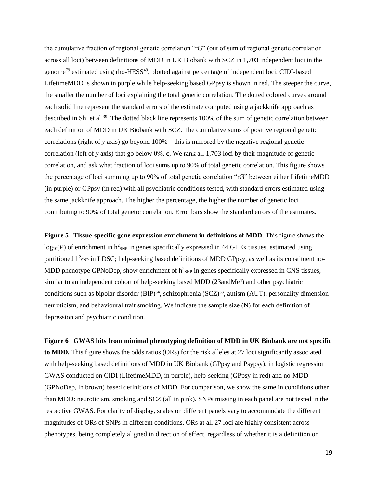the cumulative fraction of regional genetic correlation "rG" (out of sum of regional genetic correlation across all loci) between definitions of MDD in UK Biobank with SCZ in 1,703 independent loci in the genome<sup>79</sup> estimated using rho-HESS<sup>49</sup>, plotted against percentage of independent loci. CIDI-based LifetimeMDD is shown in purple while help-seeking based GPpsy is shown in red. The steeper the curve, the smaller the number of loci explaining the total genetic correlation. The dotted colored curves around each solid line represent the standard errors of the estimate computed using a jackknife approach as described in Shi et al.<sup>39</sup>. The dotted black line represents 100% of the sum of genetic correlation between each definition of MDD in UK Biobank with SCZ. The cumulative sums of positive regional genetic correlations (right of *y* axis) go beyond 100% – this is mirrored by the negative regional genetic correlation (left of *y* axis) that go below 0%. **c**, We rank all 1,703 loci by their magnitude of genetic correlation, and ask what fraction of loci sums up to 90% of total genetic correlation. This figure shows the percentage of loci summing up to 90% of total genetic correlation "rG" between either LifetimeMDD (in purple) or GPpsy (in red) with all psychiatric conditions tested, with standard errors estimated using the same jackknife approach. The higher the percentage, the higher the number of genetic loci contributing to 90% of total genetic correlation. Error bars show the standard errors of the estimates.

**Figure 5 | Tissue-specific gene expression enrichment in definitions of MDD.** This figure shows the  $log_{10}(P)$  of enrichment in  $h^{2}$ <sub>SNP</sub> in genes specifically expressed in 44 GTEx tissues, estimated using partitioned h<sup>2</sup><sub>SNP</sub> in LDSC; help-seeking based definitions of MDD GPpsy, as well as its constituent no-MDD phenotype GPNoDep, show enrichment of  $h^2_{SNP}$  in genes specifically expressed in CNS tissues, similar to an independent cohort of help-seeking based MDD (23andMe<sup>4</sup>) and other psychiatric conditions such as bipolar disorder  $(BIP)^{54}$ , schizophrenia  $(SCZ)^{53}$ , autism  $(AUT)$ , personality dimension neuroticism, and behavioural trait smoking. We indicate the sample size (N) for each definition of depression and psychiatric condition.

**Figure 6 | GWAS hits from minimal phenotyping definition of MDD in UK Biobank are not specific to MDD.** This figure shows the odds ratios (ORs) for the risk alleles at 27 loci significantly associated with help-seeking based definitions of MDD in UK Biobank (GPpsy and Psypsy), in logistic regression GWAS conducted on CIDI (LifetimeMDD, in purple), help-seeking (GPpsy in red) and no-MDD (GPNoDep, in brown) based definitions of MDD. For comparison, we show the same in conditions other than MDD: neuroticism, smoking and SCZ (all in pink). SNPs missing in each panel are not tested in the respective GWAS. For clarity of display, scales on different panels vary to accommodate the different magnitudes of ORs of SNPs in different conditions. ORs at all 27 loci are highly consistent across phenotypes, being completely aligned in direction of effect, regardless of whether it is a definition or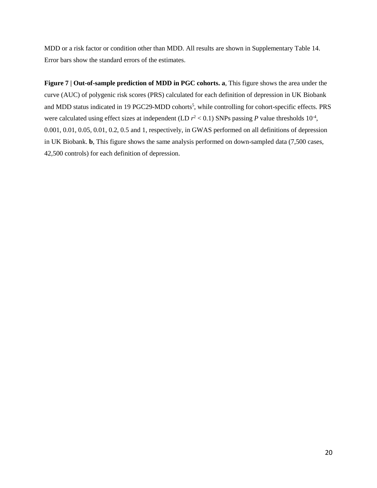MDD or a risk factor or condition other than MDD. All results are shown in Supplementary Table 14. Error bars show the standard errors of the estimates.

**Figure 7 | Out-of-sample prediction of MDD in PGC cohorts. a**, This figure shows the area under the curve (AUC) of polygenic risk scores (PRS) calculated for each definition of depression in UK Biobank and MDD status indicated in 19 PGC29-MDD cohorts<sup>5</sup>, while controlling for cohort-specific effects. PRS were calculated using effect sizes at independent (LD  $r^2$  < 0.1) SNPs passing P value thresholds  $10^{-4}$ , 0.001, 0.01, 0.05, 0.01, 0.2, 0.5 and 1, respectively, in GWAS performed on all definitions of depression in UK Biobank. **b**, This figure shows the same analysis performed on down-sampled data (7,500 cases, 42,500 controls) for each definition of depression.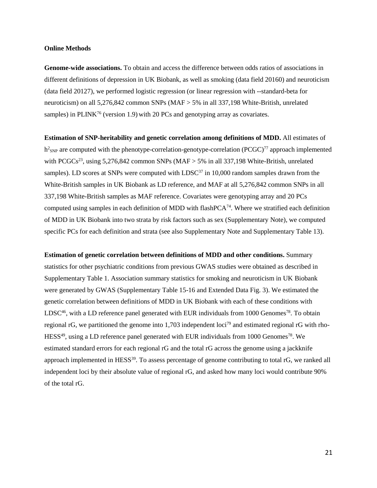#### **Online Methods**

**Genome-wide associations.** To obtain and access the difference between odds ratios of associations in different definitions of depression in UK Biobank, as well as smoking (data field 20160) and neuroticism (data field 20127), we performed logistic regression (or linear regression with --standard-beta for neuroticism) on all 5,276,842 common SNPs (MAF > 5% in all 337,198 White-British, unrelated samples) in  $PLINK^{76}$  (version 1.9) with 20 PCs and genotyping array as covariates.

**Estimation of SNP-heritability and genetic correlation among definitions of MDD.** All estimates of  $h^2$ <sub>SNP</sub> are computed with the phenotype-correlation-genotype-correlation (PCGC)<sup>77</sup> approach implemented with PCGCs<sup>23</sup>, using 5,276,842 common SNPs (MAF  $>$  5% in all 337,198 White-British, unrelated samples). LD scores at SNPs were computed with LDSC<sup>37</sup> in 10,000 random samples drawn from the White-British samples in UK Biobank as LD reference, and MAF at all 5,276,842 common SNPs in all 337,198 White-British samples as MAF reference. Covariates were genotyping array and 20 PCs computed using samples in each definition of MDD with flash  $PCA^{74}$ . Where we stratified each definition of MDD in UK Biobank into two strata by risk factors such as sex (Supplementary Note), we computed specific PCs for each definition and strata (see also Supplementary Note and Supplementary Table 13).

**Estimation of genetic correlation between definitions of MDD and other conditions.** Summary statistics for other psychiatric conditions from previous GWAS studies were obtained as described in Supplementary Table 1. Association summary statistics for smoking and neuroticism in UK Biobank were generated by GWAS (Supplementary Table 15-16 and Extended Data Fig. 3). We estimated the genetic correlation between definitions of MDD in UK Biobank with each of these conditions with  $LDSC<sup>46</sup>$ , with a LD reference panel generated with EUR individuals from 1000 Genomes<sup>78</sup>. To obtain regional rG, we partitioned the genome into 1,703 independent loci<sup>79</sup> and estimated regional rG with rho- $HESS^{49}$ , using a LD reference panel generated with EUR individuals from 1000 Genomes<sup>78</sup>. We estimated standard errors for each regional rG and the total rG across the genome using a jackknife approach implemented in HESS<sup>39</sup>. To assess percentage of genome contributing to total rG, we ranked all independent loci by their absolute value of regional rG, and asked how many loci would contribute 90% of the total rG.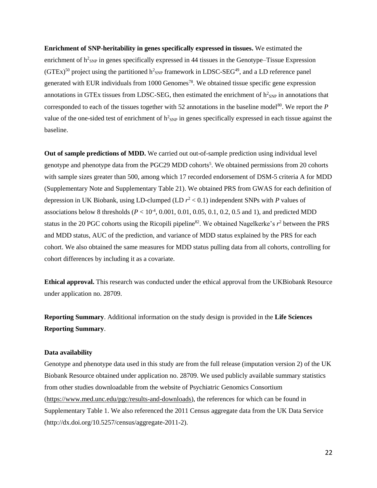**Enrichment of SNP-heritability in genes specifically expressed in tissues.** We estimated the enrichment of  $h^2_{SNP}$  in genes specifically expressed in 44 tissues in the Genotype–Tissue Expression (GTEx)<sup>50</sup> project using the partitioned  $h^2_{SNP}$  framework in LDSC-SEG<sup>49</sup>, and a LD reference panel generated with EUR individuals from 1000 Genomes<sup>78</sup>. We obtained tissue specific gene expression annotations in GTEx tissues from LDSC-SEG, then estimated the enrichment of  $h^2_{SNP}$  in annotations that corresponded to each of the tissues together with 52 annotations in the baseline model<sup>80</sup>. We report the  $P$ value of the one-sided test of enrichment of  $h^2_{SNP}$  in genes specifically expressed in each tissue against the baseline.

**Out of sample predictions of MDD.** We carried out out-of-sample prediction using individual level genotype and phenotype data from the PGC29 MDD cohorts<sup>5</sup>. We obtained permissions from 20 cohorts with sample sizes greater than 500, among which 17 recorded endorsement of DSM-5 criteria A for MDD (Supplementary Note and Supplementary Table 21). We obtained PRS from GWAS for each definition of depression in UK Biobank, using LD-clumped (LD *r* <sup>2</sup> < 0.1) independent SNPs with *P* values of associations below 8 thresholds  $(P < 10^{-4}, 0.001, 0.01, 0.05, 0.1, 0.2, 0.5, 0.1)$ , and predicted MDD status in the 20 PGC cohorts using the Ricopili pipeline<sup>82</sup>. We obtained Nagelkerke's  $r^2$  between the PRS and MDD status, AUC of the prediction, and variance of MDD status explained by the PRS for each cohort. We also obtained the same measures for MDD status pulling data from all cohorts, controlling for cohort differences by including it as a covariate.

**Ethical approval.** This research was conducted under the ethical approval from the UKBiobank Resource under application no. 28709.

**Reporting Summary**. Additional information on the study design is provided in the **Life Sciences Reporting Summary**.

### **Data availability**

Genotype and phenotype data used in this study are from the full release (imputation version 2) of the UK Biobank Resource obtained under application no. 28709. We used publicly available summary statistics from other studies downloadable from the website of Psychiatric Genomics Consortium [\(https://www.med.unc.edu/pgc/results-and-downloads\)](https://www.med.unc.edu/pgc/results-and-downloads), the references for which can be found in Supplementary Table 1. We also referenced the 2011 Census aggregate data from the UK Data Service (http://dx.doi.org/10.5257/census/aggregate-2011-2).